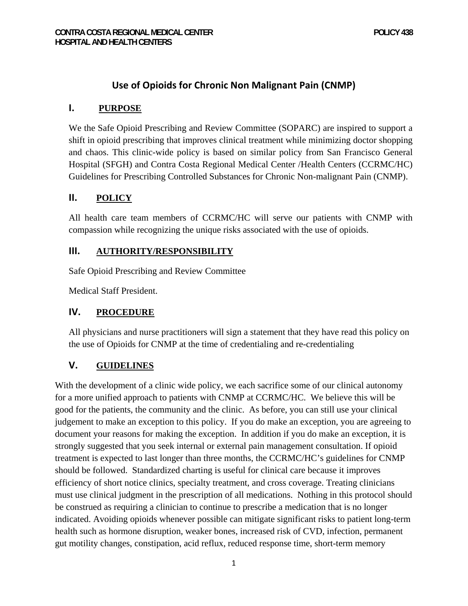# **Use of Opioids for Chronic Non Malignant Pain (CNMP)**

#### **I. PURPOSE**

We the Safe Opioid Prescribing and Review Committee (SOPARC) are inspired to support a shift in opioid prescribing that improves clinical treatment while minimizing doctor shopping and chaos. This clinic-wide policy is based on similar policy from San Francisco General Hospital (SFGH) and Contra Costa Regional Medical Center /Health Centers (CCRMC/HC) Guidelines for Prescribing Controlled Substances for Chronic Non-malignant Pain (CNMP).

## **II. POLICY**

All health care team members of CCRMC/HC will serve our patients with CNMP with compassion while recognizing the unique risks associated with the use of opioids.

#### **III. AUTHORITY/RESPONSIBILITY**

Safe Opioid Prescribing and Review Committee

Medical Staff President.

## **IV. PROCEDURE**

All physicians and nurse practitioners will sign a statement that they have read this policy on the use of Opioids for CNMP at the time of credentialing and re-credentialing

## **V. GUIDELINES**

With the development of a clinic wide policy, we each sacrifice some of our clinical autonomy for a more unified approach to patients with CNMP at CCRMC/HC. We believe this will be good for the patients, the community and the clinic. As before, you can still use your clinical judgement to make an exception to this policy. If you do make an exception, you are agreeing to document your reasons for making the exception. In addition if you do make an exception, it is strongly suggested that you seek internal or external pain management consultation. If opioid treatment is expected to last longer than three months, the CCRMC/HC's guidelines for CNMP should be followed. Standardized charting is useful for clinical care because it improves efficiency of short notice clinics, specialty treatment, and cross coverage. Treating clinicians must use clinical judgment in the prescription of all medications. Nothing in this protocol should be construed as requiring a clinician to continue to prescribe a medication that is no longer indicated. Avoiding opioids whenever possible can mitigate significant risks to patient long-term health such as hormone disruption, weaker bones, increased risk of CVD, infection, permanent gut motility changes, constipation, acid reflux, reduced response time, short-term memory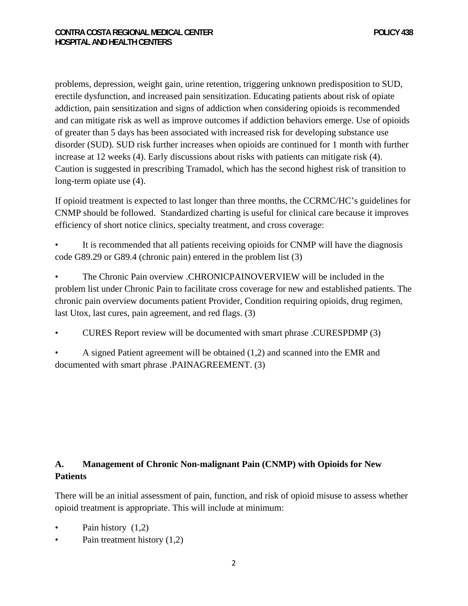problems, depression, weight gain, urine retention, triggering unknown predisposition to SUD, erectile dysfunction, and increased pain sensitization. Educating patients about risk of opiate addiction, pain sensitization and signs of addiction when considering opioids is recommended and can mitigate risk as well as improve outcomes if addiction behaviors emerge. Use of opioids of greater than 5 days has been associated with increased risk for developing substance use disorder (SUD). SUD risk further increases when opioids are continued for 1 month with further increase at 12 weeks (4). Early discussions about risks with patients can mitigate risk (4). Caution is suggested in prescribing Tramadol, which has the second highest risk of transition to long-term opiate use (4).

If opioid treatment is expected to last longer than three months, the CCRMC/HC's guidelines for CNMP should be followed. Standardized charting is useful for clinical care because it improves efficiency of short notice clinics, specialty treatment, and cross coverage:

It is recommended that all patients receiving opioids for CNMP will have the diagnosis code G89.29 or G89.4 (chronic pain) entered in the problem list (3)

• The Chronic Pain overview .CHRONICPAINOVERVIEW will be included in the problem list under Chronic Pain to facilitate cross coverage for new and established patients. The chronic pain overview documents patient Provider, Condition requiring opioids, drug regimen, last Utox, last cures, pain agreement, and red flags. (3)

- CURES Report review will be documented with smart phrase .CURESPDMP (3)
- A signed Patient agreement will be obtained (1,2) and scanned into the EMR and documented with smart phrase .PAINAGREEMENT. (3)

# **A. Management of Chronic Non-malignant Pain (CNMP) with Opioids for New Patients**

There will be an initial assessment of pain, function, and risk of opioid misuse to assess whether opioid treatment is appropriate. This will include at minimum:

- Pain history (1,2)
- Pain treatment history (1,2)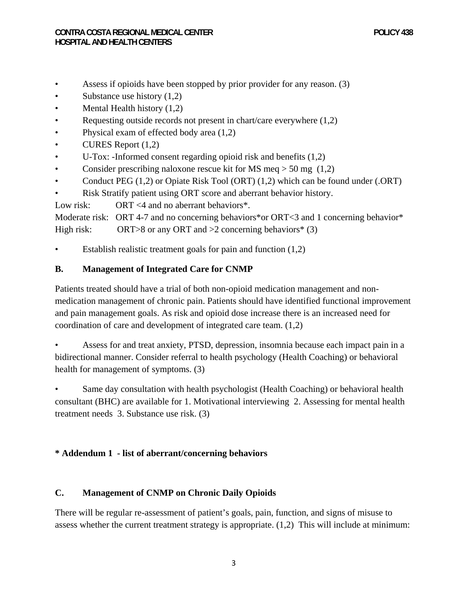- Assess if opioids have been stopped by prior provider for any reason. (3)
- Substance use history  $(1,2)$
- Mental Health history (1,2)
- Requesting outside records not present in chart/care everywhere  $(1,2)$
- Physical exam of effected body area  $(1,2)$
- CURES Report (1,2)
- U-Tox: -Informed consent regarding opioid risk and benefits (1,2)
- Consider prescribing naloxone rescue kit for MS meq  $>$  50 mg (1,2)
- Conduct PEG (1,2) or Opiate Risk Tool (ORT) (1,2) which can be found under (.ORT)
- Risk Stratify patient using ORT score and aberrant behavior history.

Low risk: ORT <4 and no aberrant behaviors\*.

Moderate risk: ORT 4-7 and no concerning behaviors\*or ORT<3 and 1 concerning behavior\* High risk: ORT>8 or any ORT and  $>2$  concerning behaviors<sup>\*</sup> (3)

• Establish realistic treatment goals for pain and function  $(1,2)$ 

#### **B. Management of Integrated Care for CNMP**

Patients treated should have a trial of both non-opioid medication management and nonmedication management of chronic pain. Patients should have identified functional improvement and pain management goals. As risk and opioid dose increase there is an increased need for coordination of care and development of integrated care team. (1,2)

• Assess for and treat anxiety, PTSD, depression, insomnia because each impact pain in a bidirectional manner. Consider referral to health psychology (Health Coaching) or behavioral health for management of symptoms. (3)

Same day consultation with health psychologist (Health Coaching) or behavioral health consultant (BHC) are available for 1. Motivational interviewing 2. Assessing for mental health treatment needs 3. Substance use risk. (3)

## **\* Addendum 1 - list of aberrant/concerning behaviors**

## **C. Management of CNMP on Chronic Daily Opioids**

There will be regular re-assessment of patient's goals, pain, function, and signs of misuse to assess whether the current treatment strategy is appropriate. (1,2) This will include at minimum: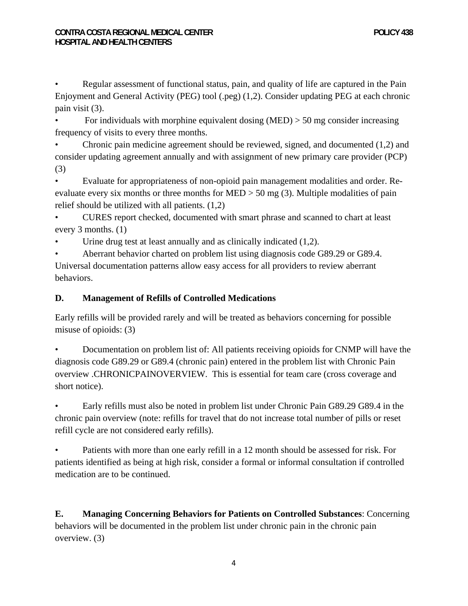• Regular assessment of functional status, pain, and quality of life are captured in the Pain Enjoyment and General Activity (PEG) tool (.peg) (1,2). Consider updating PEG at each chronic pain visit (3).

For individuals with morphine equivalent dosing  $(MED) > 50$  mg consider increasing frequency of visits to every three months.

• Chronic pain medicine agreement should be reviewed, signed, and documented (1,2) and consider updating agreement annually and with assignment of new primary care provider (PCP) (3)

• Evaluate for appropriateness of non-opioid pain management modalities and order. Reevaluate every six months or three months for MED > 50 mg (3). Multiple modalities of pain relief should be utilized with all patients. (1,2)

• CURES report checked, documented with smart phrase and scanned to chart at least every 3 months. (1)

Urine drug test at least annually and as clinically indicated  $(1,2)$ .

• Aberrant behavior charted on problem list using diagnosis code G89.29 or G89.4. Universal documentation patterns allow easy access for all providers to review aberrant behaviors.

# **D. Management of Refills of Controlled Medications**

Early refills will be provided rarely and will be treated as behaviors concerning for possible misuse of opioids: (3)

• Documentation on problem list of: All patients receiving opioids for CNMP will have the diagnosis code G89.29 or G89.4 (chronic pain) entered in the problem list with Chronic Pain overview .CHRONICPAINOVERVIEW. This is essential for team care (cross coverage and short notice).

• Early refills must also be noted in problem list under Chronic Pain G89.29 G89.4 in the chronic pain overview (note: refills for travel that do not increase total number of pills or reset refill cycle are not considered early refills).

Patients with more than one early refill in a 12 month should be assessed for risk. For patients identified as being at high risk, consider a formal or informal consultation if controlled medication are to be continued.

**E. Managing Concerning Behaviors for Patients on Controlled Substances**: Concerning behaviors will be documented in the problem list under chronic pain in the chronic pain overview. (3)

4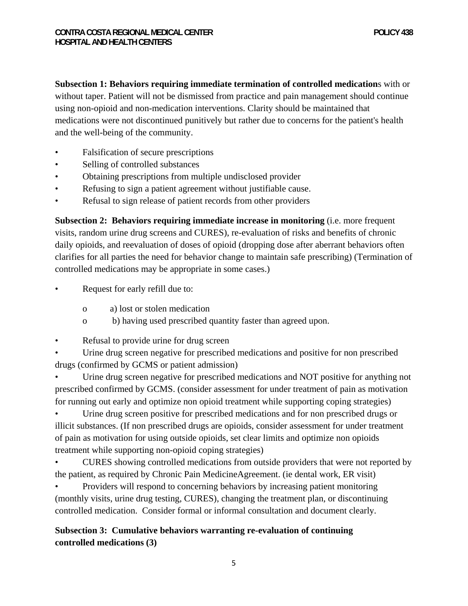**Subsection 1: Behaviors requiring immediate termination of controlled medication**s with or without taper. Patient will not be dismissed from practice and pain management should continue using non-opioid and non-medication interventions. Clarity should be maintained that medications were not discontinued punitively but rather due to concerns for the patient's health and the well-being of the community.

- Falsification of secure prescriptions
- Selling of controlled substances
- Obtaining prescriptions from multiple undisclosed provider
- Refusing to sign a patient agreement without justifiable cause.
- Refusal to sign release of patient records from other providers

**Subsection 2: Behaviors requiring immediate increase in monitoring** (i.e. more frequent visits, random urine drug screens and CURES), re-evaluation of risks and benefits of chronic daily opioids, and reevaluation of doses of opioid (dropping dose after aberrant behaviors often clarifies for all parties the need for behavior change to maintain safe prescribing) (Termination of controlled medications may be appropriate in some cases.)

- Request for early refill due to:
	- o a) lost or stolen medication
	- o b) having used prescribed quantity faster than agreed upon.
- Refusal to provide urine for drug screen
- Urine drug screen negative for prescribed medications and positive for non prescribed drugs (confirmed by GCMS or patient admission)
- Urine drug screen negative for prescribed medications and NOT positive for anything not prescribed confirmed by GCMS. (consider assessment for under treatment of pain as motivation for running out early and optimize non opioid treatment while supporting coping strategies)

• Urine drug screen positive for prescribed medications and for non prescribed drugs or illicit substances. (If non prescribed drugs are opioids, consider assessment for under treatment of pain as motivation for using outside opioids, set clear limits and optimize non opioids treatment while supporting non-opioid coping strategies)

• CURES showing controlled medications from outside providers that were not reported by the patient, as required by Chronic Pain MedicineAgreement. (ie dental work, ER visit)

• Providers will respond to concerning behaviors by increasing patient monitoring (monthly visits, urine drug testing, CURES), changing the treatment plan, or discontinuing controlled medication. Consider formal or informal consultation and document clearly.

# **Subsection 3: Cumulative behaviors warranting re-evaluation of continuing controlled medications (3)**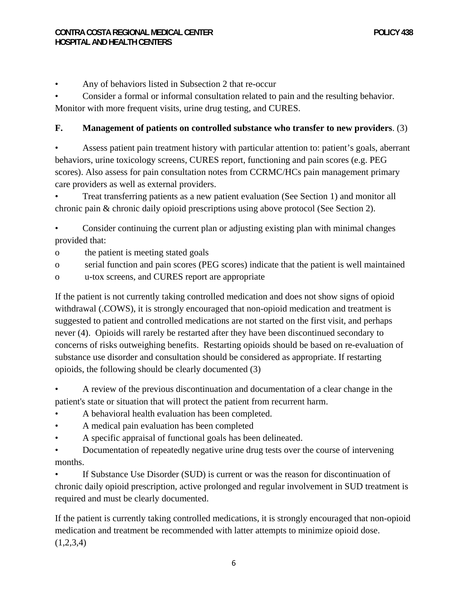• Any of behaviors listed in Subsection 2 that re-occur

• Consider a formal or informal consultation related to pain and the resulting behavior. Monitor with more frequent visits, urine drug testing, and CURES.

## **F. Management of patients on controlled substance who transfer to new providers**. (3)

• Assess patient pain treatment history with particular attention to: patient's goals, aberrant behaviors, urine toxicology screens, CURES report, functioning and pain scores (e.g. PEG scores). Also assess for pain consultation notes from CCRMC/HCs pain management primary care providers as well as external providers.

• Treat transferring patients as a new patient evaluation (See Section 1) and monitor all chronic pain & chronic daily opioid prescriptions using above protocol (See Section 2).

• Consider continuing the current plan or adjusting existing plan with minimal changes provided that:

- o the patient is meeting stated goals
- o serial function and pain scores (PEG scores) indicate that the patient is well maintained
- o u-tox screens, and CURES report are appropriate

If the patient is not currently taking controlled medication and does not show signs of opioid withdrawal (.COWS), it is strongly encouraged that non-opioid medication and treatment is suggested to patient and controlled medications are not started on the first visit, and perhaps never (4). Opioids will rarely be restarted after they have been discontinued secondary to concerns of risks outweighing benefits. Restarting opioids should be based on re-evaluation of substance use disorder and consultation should be considered as appropriate. If restarting opioids, the following should be clearly documented (3)

• A review of the previous discontinuation and documentation of a clear change in the patient's state or situation that will protect the patient from recurrent harm.

- A behavioral health evaluation has been completed.
- A medical pain evaluation has been completed
- A specific appraisal of functional goals has been delineated.

• Documentation of repeatedly negative urine drug tests over the course of intervening months.

• If Substance Use Disorder (SUD) is current or was the reason for discontinuation of chronic daily opioid prescription, active prolonged and regular involvement in SUD treatment is required and must be clearly documented.

If the patient is currently taking controlled medications, it is strongly encouraged that non-opioid medication and treatment be recommended with latter attempts to minimize opioid dose.  $(1,2,3,4)$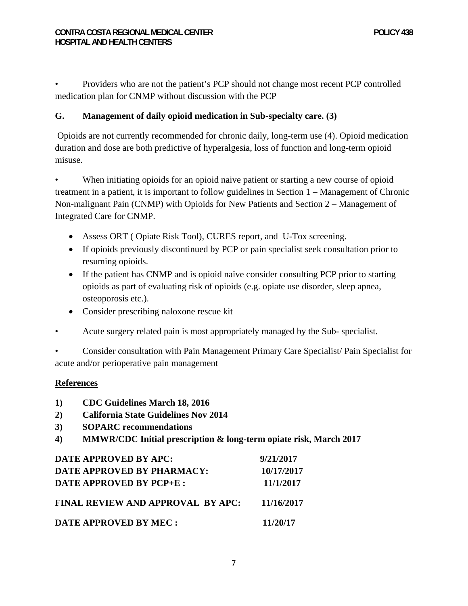• Providers who are not the patient's PCP should not change most recent PCP controlled medication plan for CNMP without discussion with the PCP

# **G. Management of daily opioid medication in Sub-specialty care. (3)**

 Opioids are not currently recommended for chronic daily, long-term use (4). Opioid medication duration and dose are both predictive of hyperalgesia, loss of function and long-term opioid misuse.

When initiating opioids for an opioid naive patient or starting a new course of opioid treatment in a patient, it is important to follow guidelines in Section 1 – Management of Chronic Non-malignant Pain (CNMP) with Opioids for New Patients and Section 2 – Management of Integrated Care for CNMP.

- Assess ORT ( Opiate Risk Tool), CURES report, and U-Tox screening.
- If opioids previously discontinued by PCP or pain specialist seek consultation prior to resuming opioids.
- If the patient has CNMP and is opioid naïve consider consulting PCP prior to starting opioids as part of evaluating risk of opioids (e.g. opiate use disorder, sleep apnea, osteoporosis etc.).
- Consider prescribing naloxone rescue kit
- Acute surgery related pain is most appropriately managed by the Sub- specialist.

• Consider consultation with Pain Management Primary Care Specialist/ Pain Specialist for acute and/or perioperative pain management

#### **References**

- **1) CDC Guidelines March 18, 2016**
- **2) California State Guidelines Nov 2014**
- **3) SOPARC recommendations**
- **4) MMWR/CDC Initial prescription & long-term opiate risk, March 2017**

| DATE APPROVED BY APC:             | 9/21/2017  |
|-----------------------------------|------------|
| DATE APPROVED BY PHARMACY:        | 10/17/2017 |
| DATE APPROVED BY PCP+E :          | 11/1/2017  |
| FINAL REVIEW AND APPROVAL BY APC: | 11/16/2017 |
| DATE APPROVED BY MEC :            | 11/20/17   |